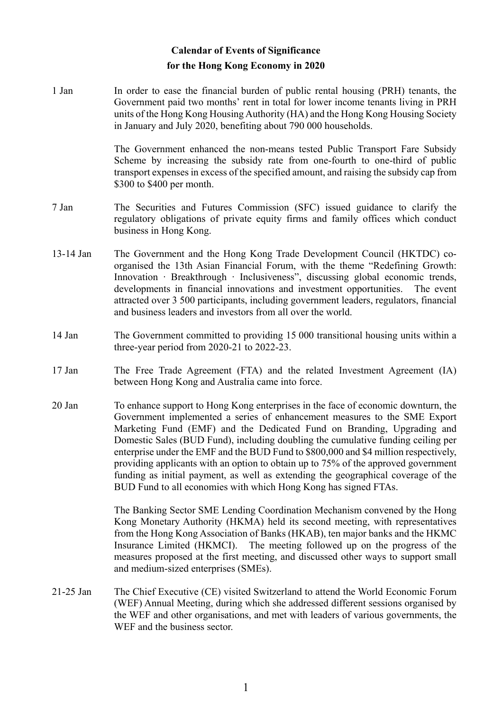## **Calendar of Events of Significance for the Hong Kong Economy in 2020**

1 Jan In order to ease the financial burden of public rental housing (PRH) tenants, the Government paid two months' rent in total for lower income tenants living in PRH units of the Hong Kong Housing Authority (HA) and the Hong Kong Housing Society in January and July 2020, benefiting about 790 000 households.

> The Government enhanced the non-means tested Public Transport Fare Subsidy Scheme by increasing the subsidy rate from one-fourth to one-third of public transport expenses in excess of the specified amount, and raising the subsidy cap from \$300 to \$400 per month.

- 7 Jan The Securities and Futures Commission (SFC) issued guidance to clarify the regulatory obligations of private equity firms and family offices which conduct business in Hong Kong.
- 13-14 Jan The Government and the Hong Kong Trade Development Council (HKTDC) coorganised the 13th Asian Financial Forum, with the theme "Redefining Growth: Innovation ∙ Breakthrough ∙ Inclusiveness", discussing global economic trends, developments in financial innovations and investment opportunities. The event attracted over 3 500 participants, including government leaders, regulators, financial and business leaders and investors from all over the world.
- 14 Jan The Government committed to providing 15 000 transitional housing units within a three-year period from 2020-21 to 2022-23.
- 17 Jan The Free Trade Agreement (FTA) and the related Investment Agreement (IA) between Hong Kong and Australia came into force.
- 20 Jan To enhance support to Hong Kong enterprises in the face of economic downturn, the Government implemented a series of enhancement measures to the SME Export Marketing Fund (EMF) and the Dedicated Fund on Branding, Upgrading and Domestic Sales (BUD Fund), including doubling the cumulative funding ceiling per enterprise under the EMF and the BUD Fund to \$800,000 and \$4 million respectively, providing applicants with an option to obtain up to 75% of the approved government funding as initial payment, as well as extending the geographical coverage of the BUD Fund to all economies with which Hong Kong has signed FTAs.

The Banking Sector SME Lending Coordination Mechanism convened by the Hong Kong Monetary Authority (HKMA) held its second meeting, with representatives from the Hong Kong Association of Banks (HKAB), ten major banks and the HKMC Insurance Limited (HKMCI). The meeting followed up on the progress of the measures proposed at the first meeting, and discussed other ways to support small and medium-sized enterprises (SMEs).

21-25 Jan The Chief Executive (CE) visited Switzerland to attend the World Economic Forum (WEF) Annual Meeting, during which she addressed different sessions organised by the WEF and other organisations, and met with leaders of various governments, the WEF and the business sector.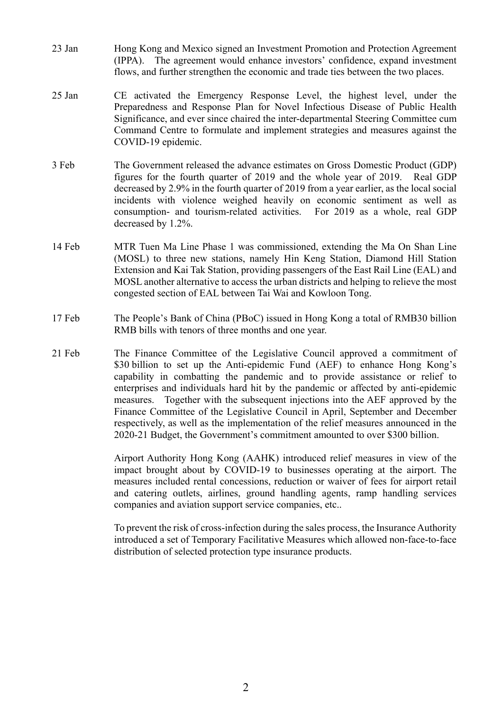- 23 Jan Hong Kong and Mexico signed an Investment Promotion and Protection Agreement (IPPA). The agreement would enhance investors' confidence, expand investment flows, and further strengthen the economic and trade ties between the two places.
- 25 Jan CE activated the Emergency Response Level, the highest level, under the Preparedness and Response Plan for Novel Infectious Disease of Public Health Significance, and ever since chaired the inter-departmental Steering Committee cum Command Centre to formulate and implement strategies and measures against the COVID-19 epidemic.
- 3 Feb The Government released the advance estimates on Gross Domestic Product (GDP) figures for the fourth quarter of 2019 and the whole year of 2019. Real GDP decreased by 2.9% in the fourth quarter of 2019 from a year earlier, as the local social incidents with violence weighed heavily on economic sentiment as well as consumption- and tourism-related activities. For 2019 as a whole, real GDP decreased by 1.2%.
- 14 Feb MTR Tuen Ma Line Phase 1 was commissioned, extending the Ma On Shan Line (MOSL) to three new stations, namely Hin Keng Station, Diamond Hill Station Extension and Kai Tak Station, providing passengers of the East Rail Line (EAL) and MOSL another alternative to access the urban districts and helping to relieve the most congested section of EAL between Tai Wai and Kowloon Tong.
- 17 Feb The People's Bank of China (PBoC) issued in Hong Kong a total of RMB30 billion RMB bills with tenors of three months and one year.
- 21 Feb The Finance Committee of the Legislative Council approved a commitment of \$30 billion to set up the Anti-epidemic Fund (AEF) to enhance Hong Kong's capability in combatting the pandemic and to provide assistance or relief to enterprises and individuals hard hit by the pandemic or affected by anti-epidemic measures. Together with the subsequent injections into the AEF approved by the Finance Committee of the Legislative Council in April, September and December respectively, as well as the implementation of the relief measures announced in the 2020-21 Budget, the Government's commitment amounted to over \$300 billion.

Airport Authority Hong Kong (AAHK) introduced relief measures in view of the impact brought about by COVID-19 to businesses operating at the airport. The measures included rental concessions, reduction or waiver of fees for airport retail and catering outlets, airlines, ground handling agents, ramp handling services companies and aviation support service companies, etc..

To prevent the risk of cross-infection during the sales process, the Insurance Authority introduced a set of Temporary Facilitative Measures which allowed non-face-to-face distribution of selected protection type insurance products.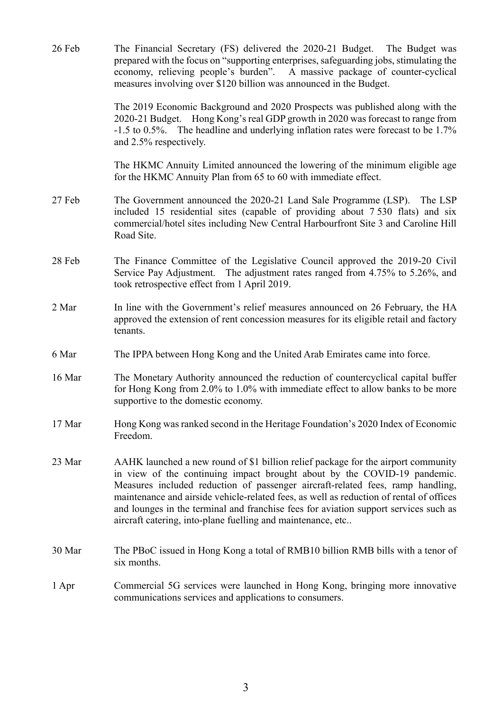| 26 Feb | The Financial Secretary (FS) delivered the 2020-21 Budget. The Budget was<br>prepared with the focus on "supporting enterprises, safeguarding jobs, stimulating the<br>economy, relieving people's burden". A massive package of counter-cyclical<br>measures involving over \$120 billion was announced in the Budget.                                                                                                                                                                           |
|--------|---------------------------------------------------------------------------------------------------------------------------------------------------------------------------------------------------------------------------------------------------------------------------------------------------------------------------------------------------------------------------------------------------------------------------------------------------------------------------------------------------|
|        | The 2019 Economic Background and 2020 Prospects was published along with the<br>2020-21 Budget. Hong Kong's real GDP growth in 2020 was forecast to range from<br>-1.5 to 0.5%. The headline and underlying inflation rates were forecast to be 1.7%<br>and 2.5% respectively.                                                                                                                                                                                                                    |
|        | The HKMC Annuity Limited announced the lowering of the minimum eligible age<br>for the HKMC Annuity Plan from 65 to 60 with immediate effect.                                                                                                                                                                                                                                                                                                                                                     |
| 27 Feb | The Government announced the 2020-21 Land Sale Programme (LSP).<br>The LSP<br>included 15 residential sites (capable of providing about 7.530 flats) and six<br>commercial/hotel sites including New Central Harbourfront Site 3 and Caroline Hill<br>Road Site.                                                                                                                                                                                                                                  |
| 28 Feb | The Finance Committee of the Legislative Council approved the 2019-20 Civil<br>Service Pay Adjustment. The adjustment rates ranged from 4.75% to 5.26%, and<br>took retrospective effect from 1 April 2019.                                                                                                                                                                                                                                                                                       |
| 2 Mar  | In line with the Government's relief measures announced on 26 February, the HA<br>approved the extension of rent concession measures for its eligible retail and factory<br>tenants.                                                                                                                                                                                                                                                                                                              |
| 6 Mar  | The IPPA between Hong Kong and the United Arab Emirates came into force.                                                                                                                                                                                                                                                                                                                                                                                                                          |
| 16 Mar | The Monetary Authority announced the reduction of countercyclical capital buffer<br>for Hong Kong from 2.0% to 1.0% with immediate effect to allow banks to be more<br>supportive to the domestic economy.                                                                                                                                                                                                                                                                                        |
| 17 Mar | Hong Kong was ranked second in the Heritage Foundation's 2020 Index of Economic<br>Freedom.                                                                                                                                                                                                                                                                                                                                                                                                       |
| 23 Mar | AAHK launched a new round of \$1 billion relief package for the airport community<br>in view of the continuing impact brought about by the COVID-19 pandemic.<br>Measures included reduction of passenger aircraft-related fees, ramp handling,<br>maintenance and airside vehicle-related fees, as well as reduction of rental of offices<br>and lounges in the terminal and franchise fees for aviation support services such as<br>aircraft catering, into-plane fuelling and maintenance, etc |
| 30 Mar | The PBoC issued in Hong Kong a total of RMB10 billion RMB bills with a tenor of<br>six months.                                                                                                                                                                                                                                                                                                                                                                                                    |
| 1 Apr  | Commercial 5G services were launched in Hong Kong, bringing more innovative<br>communications services and applications to consumers.                                                                                                                                                                                                                                                                                                                                                             |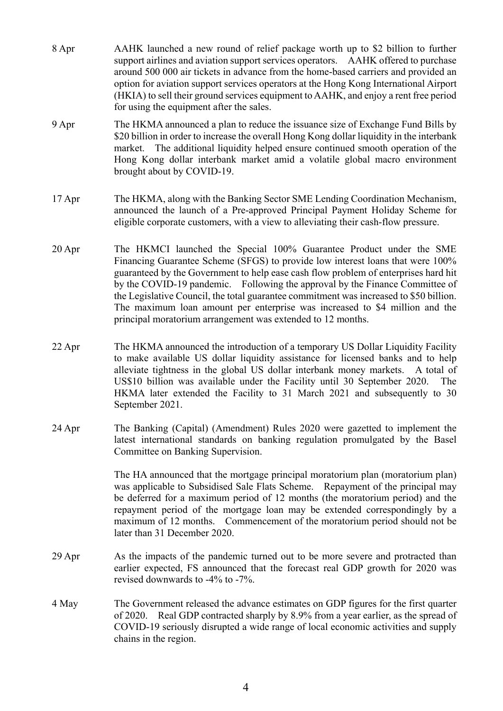- 8 Apr AAHK launched a new round of relief package worth up to \$2 billion to further support airlines and aviation support services operators. AAHK offered to purchase around 500 000 air tickets in advance from the home-based carriers and provided an option for aviation support services operators at the Hong Kong International Airport (HKIA) to sell their ground services equipment to AAHK, and enjoy a rent free period for using the equipment after the sales.
- 9 Apr The HKMA announced a plan to reduce the issuance size of Exchange Fund Bills by \$20 billion in order to increase the overall Hong Kong dollar liquidity in the interbank market. The additional liquidity helped ensure continued smooth operation of the Hong Kong dollar interbank market amid a volatile global macro environment brought about by COVID-19.
- 17 Apr The HKMA, along with the Banking Sector SME Lending Coordination Mechanism, announced the launch of a Pre-approved Principal Payment Holiday Scheme for eligible corporate customers, with a view to alleviating their cash-flow pressure.
- 20 Apr The HKMCI launched the Special 100% Guarantee Product under the SME Financing Guarantee Scheme (SFGS) to provide low interest loans that were 100% guaranteed by the Government to help ease cash flow problem of enterprises hard hit by the COVID-19 pandemic. Following the approval by the Finance Committee of the Legislative Council, the total guarantee commitment was increased to \$50 billion. The maximum loan amount per enterprise was increased to \$4 million and the principal moratorium arrangement was extended to 12 months.
- 22 Apr The HKMA announced the introduction of a temporary US Dollar Liquidity Facility to make available US dollar liquidity assistance for licensed banks and to help alleviate tightness in the global US dollar interbank money markets. A total of US\$10 billion was available under the Facility until 30 September 2020. The HKMA later extended the Facility to 31 March 2021 and subsequently to 30 September 2021.
- 24 Apr The Banking (Capital) (Amendment) Rules 2020 were gazetted to implement the latest international standards on banking regulation promulgated by the Basel Committee on Banking Supervision.

The HA announced that the mortgage principal moratorium plan (moratorium plan) was applicable to Subsidised Sale Flats Scheme. Repayment of the principal may be deferred for a maximum period of 12 months (the moratorium period) and the repayment period of the mortgage loan may be extended correspondingly by a maximum of 12 months. Commencement of the moratorium period should not be later than 31 December 2020.

- 29 Apr As the impacts of the pandemic turned out to be more severe and protracted than earlier expected, FS announced that the forecast real GDP growth for 2020 was revised downwards to -4% to -7%.
- 4 May The Government released the advance estimates on GDP figures for the first quarter of 2020. Real GDP contracted sharply by 8.9% from a year earlier, as the spread of COVID-19 seriously disrupted a wide range of local economic activities and supply chains in the region.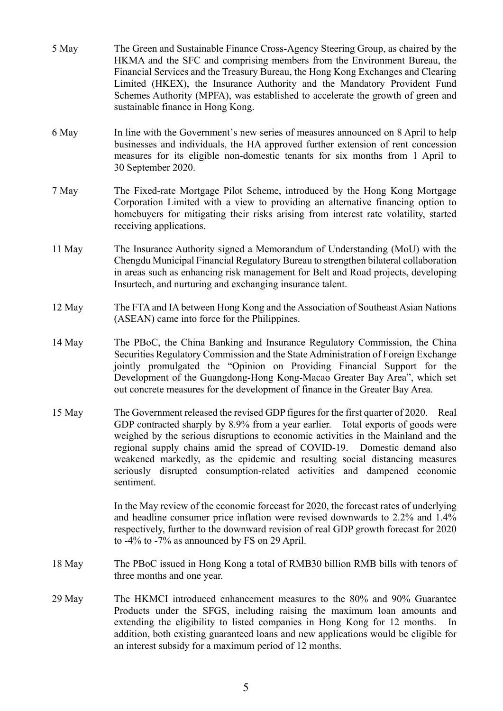- 5 May The Green and Sustainable Finance Cross-Agency Steering Group, as chaired by the HKMA and the SFC and comprising members from the Environment Bureau, the Financial Services and the Treasury Bureau, the Hong Kong Exchanges and Clearing Limited (HKEX), the Insurance Authority and the Mandatory Provident Fund Schemes Authority (MPFA), was established to accelerate the growth of green and sustainable finance in Hong Kong. 6 May In line with the Government's new series of measures announced on 8 April to help businesses and individuals, the HA approved further extension of rent concession measures for its eligible non-domestic tenants for six months from 1 April to 30 September 2020. 7 May The Fixed-rate Mortgage Pilot Scheme, introduced by the Hong Kong Mortgage Corporation Limited with a view to providing an alternative financing option to homebuyers for mitigating their risks arising from interest rate volatility, started receiving applications. 11 May The Insurance Authority signed a Memorandum of Understanding (MoU) with the Chengdu Municipal Financial Regulatory Bureau to strengthen bilateral collaboration in areas such as enhancing risk management for Belt and Road projects, developing Insurtech, and nurturing and exchanging insurance talent. 12 May The FTA and IA between Hong Kong and the Association of Southeast Asian Nations (ASEAN) came into force for the Philippines. 14 May The PBoC, the China Banking and Insurance Regulatory Commission, the China Securities Regulatory Commission and the State Administration of Foreign Exchange jointly promulgated the "Opinion on Providing Financial Support for the Development of the Guangdong-Hong Kong-Macao Greater Bay Area", which set out concrete measures for the development of finance in the Greater Bay Area. 15 May The Government released the revised GDP figures for the first quarter of 2020. Real GDP contracted sharply by 8.9% from a year earlier. Total exports of goods were weighed by the serious disruptions to economic activities in the Mainland and the regional supply chains amid the spread of COVID-19. Domestic demand also weakened markedly, as the epidemic and resulting social distancing measures seriously disrupted consumption-related activities and dampened economic sentiment. In the May review of the economic forecast for 2020, the forecast rates of underlying and headline consumer price inflation were revised downwards to 2.2% and 1.4% respectively, further to the downward revision of real GDP growth forecast for 2020 to -4% to -7% as announced by FS on 29 April. 18 May The PBoC issued in Hong Kong a total of RMB30 billion RMB bills with tenors of three months and one year. 29 May The HKMCI introduced enhancement measures to the 80% and 90% Guarantee
	- Products under the SFGS, including raising the maximum loan amounts and extending the eligibility to listed companies in Hong Kong for 12 months. In addition, both existing guaranteed loans and new applications would be eligible for an interest subsidy for a maximum period of 12 months.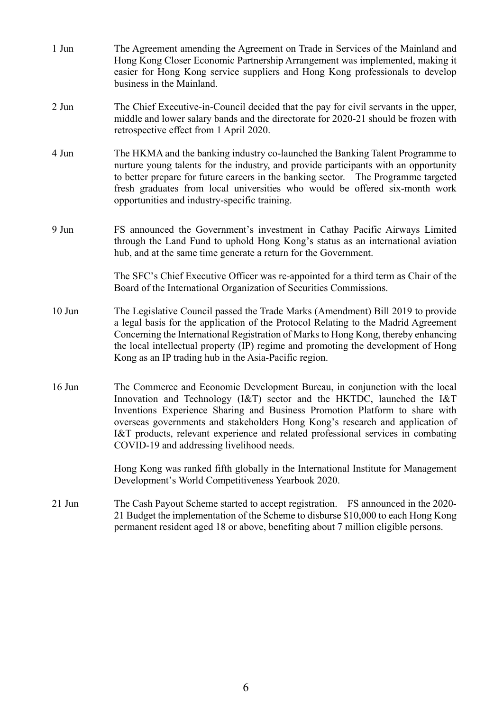- 1 Jun The Agreement amending the Agreement on Trade in Services of the Mainland and Hong Kong Closer Economic Partnership Arrangement was implemented, making it easier for Hong Kong service suppliers and Hong Kong professionals to develop business in the Mainland.
- 2 Jun The Chief Executive-in-Council decided that the pay for civil servants in the upper, middle and lower salary bands and the directorate for 2020-21 should be frozen with retrospective effect from 1 April 2020.
- 4 Jun The HKMA and the banking industry co-launched the Banking Talent Programme to nurture young talents for the industry, and provide participants with an opportunity to better prepare for future careers in the banking sector. The Programme targeted fresh graduates from local universities who would be offered six-month work opportunities and industry-specific training.
- 9 Jun FS announced the Government's investment in Cathay Pacific Airways Limited through the Land Fund to uphold Hong Kong's status as an international aviation hub, and at the same time generate a return for the Government.

The SFC's Chief Executive Officer was re-appointed for a third term as Chair of the Board of the International Organization of Securities Commissions.

- 10 Jun The Legislative Council passed the Trade Marks (Amendment) Bill 2019 to provide a legal basis for the application of the Protocol Relating to the Madrid Agreement Concerning the International Registration of Marks to Hong Kong, thereby enhancing the local intellectual property (IP) regime and promoting the development of Hong Kong as an IP trading hub in the Asia-Pacific region.
- 16 Jun The Commerce and Economic Development Bureau, in conjunction with the local Innovation and Technology (I&T) sector and the HKTDC, launched the I&T Inventions Experience Sharing and Business Promotion Platform to share with overseas governments and stakeholders Hong Kong's research and application of I&T products, relevant experience and related professional services in combating COVID-19 and addressing livelihood needs.

Hong Kong was ranked fifth globally in the International Institute for Management Development's World Competitiveness Yearbook 2020.

21 Jun The Cash Payout Scheme started to accept registration. FS announced in the 2020- 21 Budget the implementation of the Scheme to disburse \$10,000 to each Hong Kong permanent resident aged 18 or above, benefiting about 7 million eligible persons.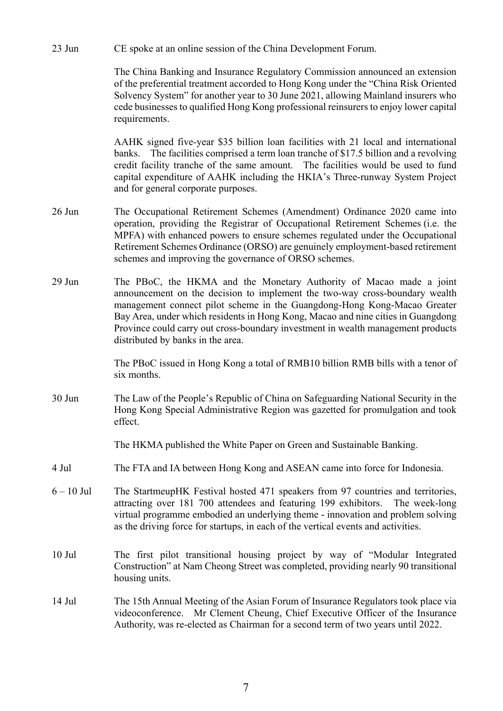23 Jun CE spoke at an online session of the China Development Forum.

The China Banking and Insurance Regulatory Commission announced an extension of the preferential treatment accorded to Hong Kong under the "China Risk Oriented Solvency System" for another year to 30 June 2021, allowing Mainland insurers who cede businesses to qualified Hong Kong professional reinsurers to enjoy lower capital requirements.

AAHK signed five-year \$35 billion loan facilities with 21 local and international banks. The facilities comprised a term loan tranche of \$17.5 billion and a revolving credit facility tranche of the same amount. The facilities would be used to fund capital expenditure of AAHK including the HKIA's Three-runway System Project and for general corporate purposes.

- 26 Jun The Occupational Retirement Schemes (Amendment) Ordinance 2020 came into operation, providing the Registrar of Occupational Retirement Schemes (i.e. the MPFA) with enhanced powers to ensure schemes regulated under the Occupational Retirement Schemes Ordinance (ORSO) are genuinely employment-based retirement schemes and improving the governance of ORSO schemes.
- 29 Jun The PBoC, the HKMA and the Monetary Authority of Macao made a joint announcement on the decision to implement the two-way cross-boundary wealth management connect pilot scheme in the Guangdong-Hong Kong-Macao Greater Bay Area, under which residents in Hong Kong, Macao and nine cities in Guangdong Province could carry out cross-boundary investment in wealth management products distributed by banks in the area.

The PBoC issued in Hong Kong a total of RMB10 billion RMB bills with a tenor of six months.

30 Jun The Law of the People's Republic of China on Safeguarding National Security in the Hong Kong Special Administrative Region was gazetted for promulgation and took effect.

The HKMA published the White Paper on Green and Sustainable Banking.

- 4 Jul The FTA and IA between Hong Kong and ASEAN came into force for Indonesia.
- 6 10 Jul The StartmeupHK Festival hosted 471 speakers from 97 countries and territories, attracting over 181 700 attendees and featuring 199 exhibitors. The week-long virtual programme embodied an underlying theme - innovation and problem solving as the driving force for startups, in each of the vertical events and activities.
- 10 Jul The first pilot transitional housing project by way of "Modular Integrated Construction" at Nam Cheong Street was completed, providing nearly 90 transitional housing units.
- 14 Jul The 15th Annual Meeting of the Asian Forum of Insurance Regulators took place via videoconference. Mr Clement Cheung, Chief Executive Officer of the Insurance Authority, was re-elected as Chairman for a second term of two years until 2022.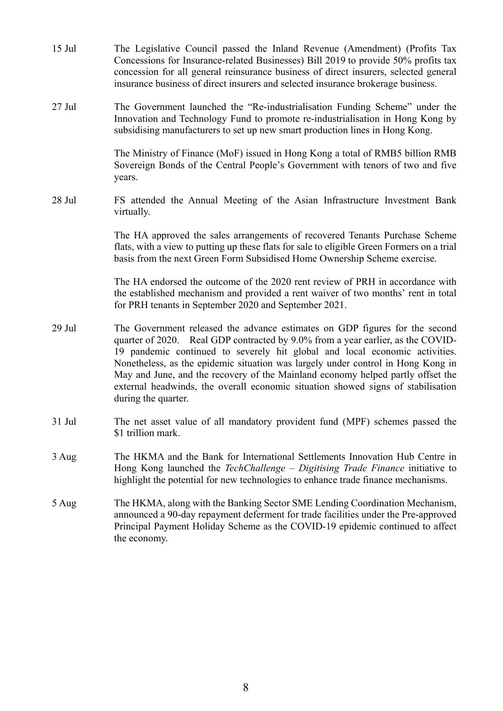| $15$ Jul | The Legislative Council passed the Inland Revenue (Amendment) (Profits Tax<br>Concessions for Insurance-related Businesses) Bill 2019 to provide 50% profits tax<br>concession for all general reinsurance business of direct insurers, selected general<br>insurance business of direct insurers and selected insurance brokerage business.                                                                                                                                                                                    |
|----------|---------------------------------------------------------------------------------------------------------------------------------------------------------------------------------------------------------------------------------------------------------------------------------------------------------------------------------------------------------------------------------------------------------------------------------------------------------------------------------------------------------------------------------|
| $27$ Jul | The Government launched the "Re-industrialisation Funding Scheme" under the<br>Innovation and Technology Fund to promote re-industrialisation in Hong Kong by<br>subsidising manufacturers to set up new smart production lines in Hong Kong.                                                                                                                                                                                                                                                                                   |
|          | The Ministry of Finance (MoF) issued in Hong Kong a total of RMB5 billion RMB<br>Sovereign Bonds of the Central People's Government with tenors of two and five<br>years.                                                                                                                                                                                                                                                                                                                                                       |
| 28 Jul   | FS attended the Annual Meeting of the Asian Infrastructure Investment Bank<br>virtually.                                                                                                                                                                                                                                                                                                                                                                                                                                        |
|          | The HA approved the sales arrangements of recovered Tenants Purchase Scheme<br>flats, with a view to putting up these flats for sale to eligible Green Formers on a trial<br>basis from the next Green Form Subsidised Home Ownership Scheme exercise.                                                                                                                                                                                                                                                                          |
|          | The HA endorsed the outcome of the 2020 rent review of PRH in accordance with<br>the established mechanism and provided a rent waiver of two months' rent in total<br>for PRH tenants in September 2020 and September 2021.                                                                                                                                                                                                                                                                                                     |
| 29 Jul   | The Government released the advance estimates on GDP figures for the second<br>quarter of 2020. Real GDP contracted by 9.0% from a year earlier, as the COVID-<br>19 pandemic continued to severely hit global and local economic activities.<br>Nonetheless, as the epidemic situation was largely under control in Hong Kong in<br>May and June, and the recovery of the Mainland economy helped partly offset the<br>external headwinds, the overall economic situation showed signs of stabilisation<br>during the quarter. |
| 31 Jul   | The net asset value of all mandatory provident fund (MPF) schemes passed the<br>\$1 trillion mark.                                                                                                                                                                                                                                                                                                                                                                                                                              |
| 3 Aug    | The HKMA and the Bank for International Settlements Innovation Hub Centre in<br>Hong Kong launched the <i>TechChallenge – Digitising Trade Finance</i> initiative to<br>highlight the potential for new technologies to enhance trade finance mechanisms.                                                                                                                                                                                                                                                                       |
| 5 Aug    | The HKMA, along with the Banking Sector SME Lending Coordination Mechanism,<br>announced a 90-day repayment deferment for trade facilities under the Pre-approved<br>Principal Payment Holiday Scheme as the COVID-19 epidemic continued to affect<br>the economy.                                                                                                                                                                                                                                                              |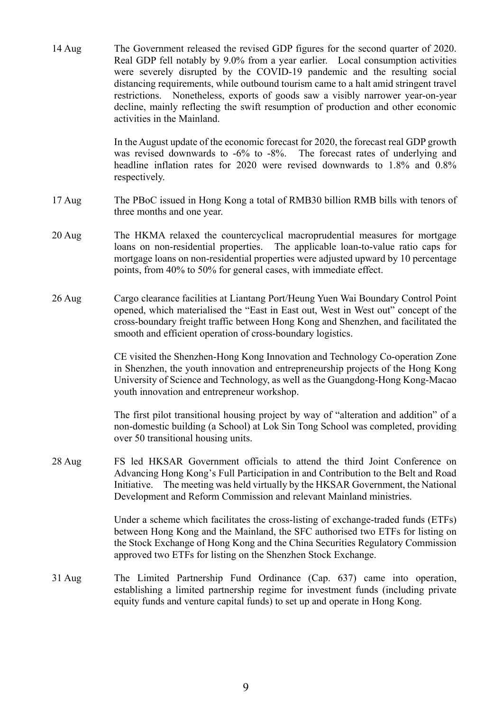14 Aug The Government released the revised GDP figures for the second quarter of 2020. Real GDP fell notably by 9.0% from a year earlier. Local consumption activities were severely disrupted by the COVID-19 pandemic and the resulting social distancing requirements, while outbound tourism came to a halt amid stringent travel restrictions. Nonetheless, exports of goods saw a visibly narrower year-on-year decline, mainly reflecting the swift resumption of production and other economic activities in the Mainland.

> In the August update of the economic forecast for 2020, the forecast real GDP growth was revised downwards to -6% to -8%. The forecast rates of underlying and headline inflation rates for 2020 were revised downwards to 1.8% and 0.8% respectively.

- 17 Aug The PBoC issued in Hong Kong a total of RMB30 billion RMB bills with tenors of three months and one year.
- 20 Aug The HKMA relaxed the countercyclical macroprudential measures for mortgage loans on non-residential properties. The applicable loan-to-value ratio caps for mortgage loans on non-residential properties were adjusted upward by 10 percentage points, from 40% to 50% for general cases, with immediate effect.
- 26 Aug Cargo clearance facilities at Liantang Port/Heung Yuen Wai Boundary Control Point opened, which materialised the "East in East out, West in West out" concept of the cross-boundary freight traffic between Hong Kong and Shenzhen, and facilitated the smooth and efficient operation of cross-boundary logistics.

CE visited the Shenzhen-Hong Kong Innovation and Technology Co-operation Zone in Shenzhen, the youth innovation and entrepreneurship projects of the Hong Kong University of Science and Technology, as well as the Guangdong-Hong Kong-Macao youth innovation and entrepreneur workshop.

The first pilot transitional housing project by way of "alteration and addition" of a non-domestic building (a School) at Lok Sin Tong School was completed, providing over 50 transitional housing units.

28 Aug FS led HKSAR Government officials to attend the third Joint Conference on Advancing Hong Kong's Full Participation in and Contribution to the Belt and Road Initiative. The meeting was held virtually by the HKSAR Government, the National Development and Reform Commission and relevant Mainland ministries.

> Under a scheme which facilitates the cross-listing of exchange-traded funds (ETFs) between Hong Kong and the Mainland, the SFC authorised two ETFs for listing on the Stock Exchange of Hong Kong and the China Securities Regulatory Commission approved two ETFs for listing on the Shenzhen Stock Exchange.

31 Aug The Limited Partnership Fund Ordinance (Cap. 637) came into operation, establishing a limited partnership regime for investment funds (including private equity funds and venture capital funds) to set up and operate in Hong Kong.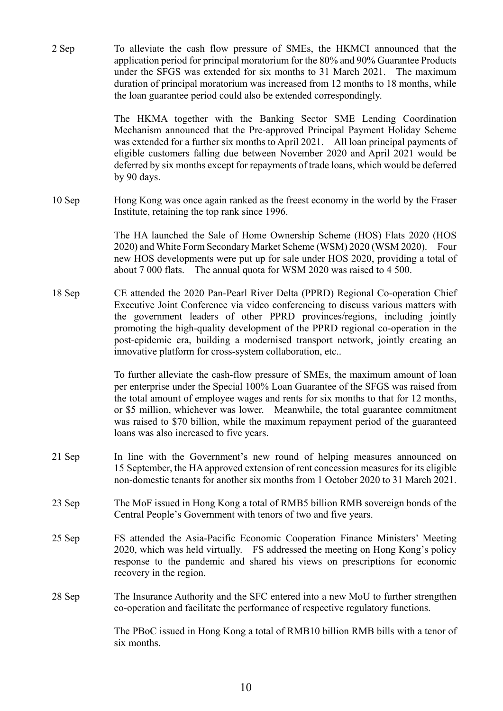2 Sep To alleviate the cash flow pressure of SMEs, the HKMCI announced that the application period for principal moratorium for the 80% and 90% Guarantee Products under the SFGS was extended for six months to 31 March 2021. The maximum duration of principal moratorium was increased from 12 months to 18 months, while the loan guarantee period could also be extended correspondingly.

> The HKMA together with the Banking Sector SME Lending Coordination Mechanism announced that the Pre-approved Principal Payment Holiday Scheme was extended for a further six months to April 2021. All loan principal payments of eligible customers falling due between November 2020 and April 2021 would be deferred by six months except for repayments of trade loans, which would be deferred by 90 days.

10 Sep Hong Kong was once again ranked as the freest economy in the world by the Fraser Institute, retaining the top rank since 1996.

> The HA launched the Sale of Home Ownership Scheme (HOS) Flats 2020 (HOS 2020) and White Form Secondary Market Scheme (WSM) 2020 (WSM 2020). Four new HOS developments were put up for sale under HOS 2020, providing a total of about 7 000 flats. The annual quota for WSM 2020 was raised to 4 500.

18 Sep CE attended the 2020 Pan-Pearl River Delta (PPRD) Regional Co-operation Chief Executive Joint Conference via video conferencing to discuss various matters with the government leaders of other PPRD provinces/regions, including jointly promoting the high-quality development of the PPRD regional co-operation in the post-epidemic era, building a modernised transport network, jointly creating an innovative platform for cross-system collaboration, etc..

> To further alleviate the cash-flow pressure of SMEs, the maximum amount of loan per enterprise under the Special 100% Loan Guarantee of the SFGS was raised from the total amount of employee wages and rents for six months to that for 12 months, or \$5 million, whichever was lower. Meanwhile, the total guarantee commitment was raised to \$70 billion, while the maximum repayment period of the guaranteed loans was also increased to five years.

- 21 Sep In line with the Government's new round of helping measures announced on 15 September, the HA approved extension of rent concession measures for its eligible non-domestic tenants for another six months from 1 October 2020 to 31 March 2021.
- 23 Sep The MoF issued in Hong Kong a total of RMB5 billion RMB sovereign bonds of the Central People's Government with tenors of two and five years.
- 25 Sep FS attended the Asia-Pacific Economic Cooperation Finance Ministers' Meeting 2020, which was held virtually. FS addressed the meeting on Hong Kong's policy response to the pandemic and shared his views on prescriptions for economic recovery in the region.
- 28 Sep The Insurance Authority and the SFC entered into a new MoU to further strengthen co-operation and facilitate the performance of respective regulatory functions.

The PBoC issued in Hong Kong a total of RMB10 billion RMB bills with a tenor of six months.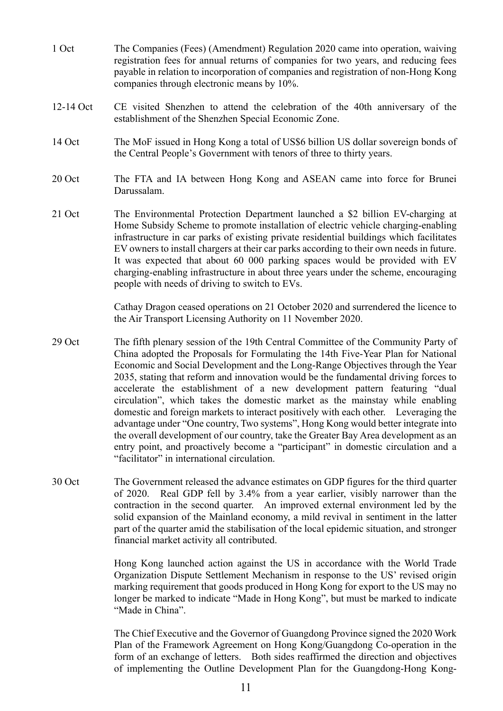- 1 Oct The Companies (Fees) (Amendment) Regulation 2020 came into operation, waiving registration fees for annual returns of companies for two years, and reducing fees payable in relation to incorporation of companies and registration of non-Hong Kong companies through electronic means by 10%.
- 12-14 Oct CE visited Shenzhen to attend the celebration of the 40th anniversary of the establishment of the Shenzhen Special Economic Zone.
- 14 Oct The MoF issued in Hong Kong a total of US\$6 billion US dollar sovereign bonds of the Central People's Government with tenors of three to thirty years.
- 20 Oct The FTA and IA between Hong Kong and ASEAN came into force for Brunei Darussalam.
- 21 Oct The Environmental Protection Department launched a \$2 billion EV-charging at Home Subsidy Scheme to promote installation of electric vehicle charging-enabling infrastructure in car parks of existing private residential buildings which facilitates EV owners to install chargers at their car parks according to their own needs in future. It was expected that about 60 000 parking spaces would be provided with EV charging-enabling infrastructure in about three years under the scheme, encouraging people with needs of driving to switch to EVs.

Cathay Dragon ceased operations on 21 October 2020 and surrendered the licence to the Air Transport Licensing Authority on 11 November 2020.

- 29 Oct The fifth plenary session of the 19th Central Committee of the Community Party of China adopted the Proposals for Formulating the 14th Five-Year Plan for National Economic and Social Development and the Long-Range Objectives through the Year 2035, stating that reform and innovation would be the fundamental driving forces to accelerate the establishment of a new development pattern featuring "dual circulation", which takes the domestic market as the mainstay while enabling domestic and foreign markets to interact positively with each other. Leveraging the advantage under "One country, Two systems", Hong Kong would better integrate into the overall development of our country, take the Greater Bay Area development as an entry point, and proactively become a "participant" in domestic circulation and a "facilitator" in international circulation.
- 30 Oct The Government released the advance estimates on GDP figures for the third quarter of 2020. Real GDP fell by 3.4% from a year earlier, visibly narrower than the contraction in the second quarter. An improved external environment led by the solid expansion of the Mainland economy, a mild revival in sentiment in the latter part of the quarter amid the stabilisation of the local epidemic situation, and stronger financial market activity all contributed.

Hong Kong launched action against the US in accordance with the World Trade Organization Dispute Settlement Mechanism in response to the US' revised origin marking requirement that goods produced in Hong Kong for export to the US may no longer be marked to indicate "Made in Hong Kong", but must be marked to indicate "Made in China".

The Chief Executive and the Governor of Guangdong Province signed the 2020 Work Plan of the Framework Agreement on Hong Kong/Guangdong Co-operation in the form of an exchange of letters. Both sides reaffirmed the direction and objectives of implementing the Outline Development Plan for the Guangdong-Hong Kong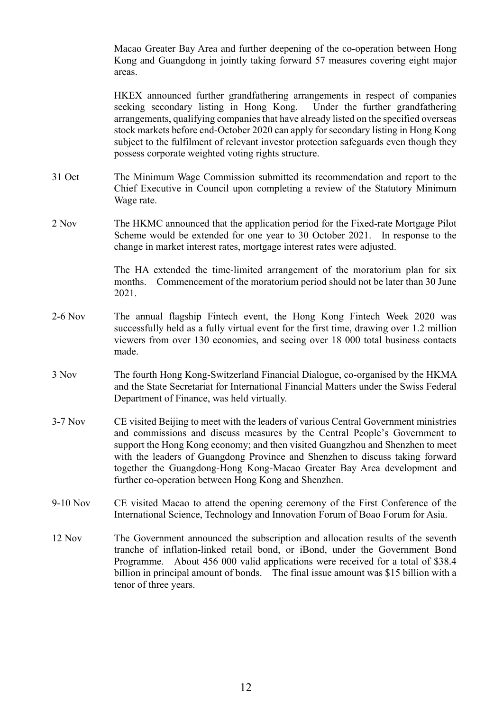Macao Greater Bay Area and further deepening of the co-operation between Hong Kong and Guangdong in jointly taking forward 57 measures covering eight major areas.

HKEX announced further grandfathering arrangements in respect of companies seeking secondary listing in Hong Kong. Under the further grandfathering arrangements, qualifying companies that have already listed on the specified overseas stock markets before end-October 2020 can apply for secondary listing in Hong Kong subject to the fulfilment of relevant investor protection safeguards even though they possess corporate weighted voting rights structure.

- 31 Oct The Minimum Wage Commission submitted its recommendation and report to the Chief Executive in Council upon completing a review of the Statutory Minimum Wage rate.
- 2 Nov The HKMC announced that the application period for the Fixed-rate Mortgage Pilot Scheme would be extended for one year to 30 October 2021. In response to the change in market interest rates, mortgage interest rates were adjusted.

The HA extended the time-limited arrangement of the moratorium plan for six months. Commencement of the moratorium period should not be later than 30 June 2021.

- 2-6 Nov The annual flagship Fintech event, the Hong Kong Fintech Week 2020 was successfully held as a fully virtual event for the first time, drawing over 1.2 million viewers from over 130 economies, and seeing over 18 000 total business contacts made.
- 3 Nov The fourth Hong Kong-Switzerland Financial Dialogue, co-organised by the HKMA and the State Secretariat for International Financial Matters under the Swiss Federal Department of Finance, was held virtually.
- 3-7 Nov CE visited Beijing to meet with the leaders of various Central Government ministries and commissions and discuss measures by the Central People's Government to support the Hong Kong economy; and then visited Guangzhou and Shenzhen to meet with the leaders of Guangdong Province and Shenzhen to discuss taking forward together the Guangdong-Hong Kong-Macao Greater Bay Area development and further co-operation between Hong Kong and Shenzhen.
- 9-10 Nov CE visited Macao to attend the opening ceremony of the First Conference of the International Science, Technology and Innovation Forum of Boao Forum for Asia.
- 12 Nov The Government announced the subscription and allocation results of the seventh tranche of inflation-linked retail bond, or iBond, under the Government Bond Programme. About 456 000 valid applications were received for a total of \$38.4 billion in principal amount of bonds. The final issue amount was \$15 billion with a tenor of three years.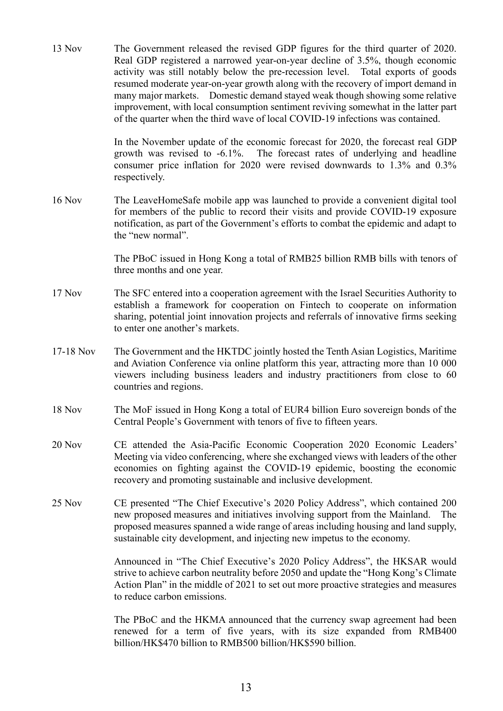13 Nov The Government released the revised GDP figures for the third quarter of 2020. Real GDP registered a narrowed year-on-year decline of 3.5%, though economic activity was still notably below the pre-recession level. Total exports of goods resumed moderate year-on-year growth along with the recovery of import demand in many major markets. Domestic demand stayed weak though showing some relative improvement, with local consumption sentiment reviving somewhat in the latter part of the quarter when the third wave of local COVID-19 infections was contained.

> In the November update of the economic forecast for 2020, the forecast real GDP growth was revised to -6.1%. The forecast rates of underlying and headline consumer price inflation for 2020 were revised downwards to 1.3% and 0.3% respectively.

16 Nov The LeaveHomeSafe mobile app was launched to provide a convenient digital tool for members of the public to record their visits and provide COVID-19 exposure notification, as part of the Government's efforts to combat the epidemic and adapt to the "new normal".

> The PBoC issued in Hong Kong a total of RMB25 billion RMB bills with tenors of three months and one year.

- 17 Nov The SFC entered into a cooperation agreement with the Israel Securities Authority to establish a framework for cooperation on Fintech to cooperate on information sharing, potential joint innovation projects and referrals of innovative firms seeking to enter one another's markets.
- 17-18 Nov The Government and the HKTDC jointly hosted the Tenth Asian Logistics, Maritime and Aviation Conference via online platform this year, attracting more than 10 000 viewers including business leaders and industry practitioners from close to 60 countries and regions.
- 18 Nov The MoF issued in Hong Kong a total of EUR4 billion Euro sovereign bonds of the Central People's Government with tenors of five to fifteen years.
- 20 Nov CE attended the Asia-Pacific Economic Cooperation 2020 Economic Leaders' Meeting via video conferencing, where she exchanged views with leaders of the other economies on fighting against the COVID-19 epidemic, boosting the economic recovery and promoting sustainable and inclusive development.
- 25 Nov CE presented "The Chief Executive's 2020 Policy Address", which contained 200 new proposed measures and initiatives involving support from the Mainland. The proposed measures spanned a wide range of areas including housing and land supply, sustainable city development, and injecting new impetus to the economy.

Announced in "The Chief Executive's 2020 Policy Address", the HKSAR would strive to achieve carbon neutrality before 2050 and update the "Hong Kong's Climate Action Plan" in the middle of 2021 to set out more proactive strategies and measures to reduce carbon emissions.

The PBoC and the HKMA announced that the currency swap agreement had been renewed for a term of five years, with its size expanded from RMB400 billion/HK\$470 billion to RMB500 billion/HK\$590 billion.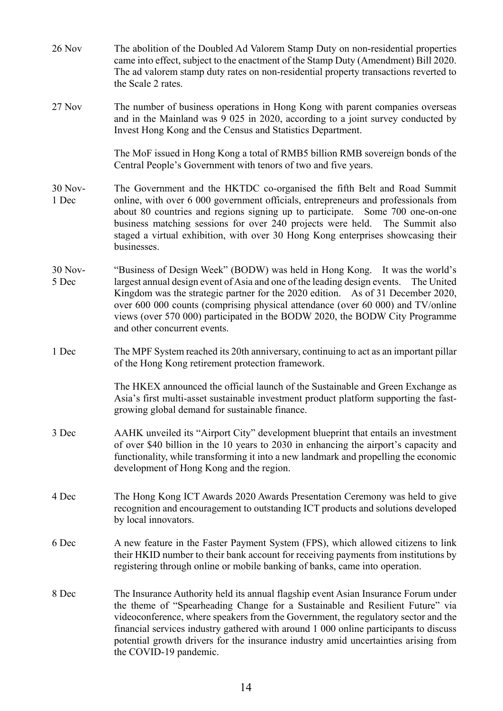26 Nov The abolition of the Doubled Ad Valorem Stamp Duty on non-residential properties came into effect, subject to the enactment of the Stamp Duty (Amendment) Bill 2020. The ad valorem stamp duty rates on non-residential property transactions reverted to the Scale 2 rates. 27 Nov The number of business operations in Hong Kong with parent companies overseas and in the Mainland was 9 025 in 2020, according to a joint survey conducted by Invest Hong Kong and the Census and Statistics Department. The MoF issued in Hong Kong a total of RMB5 billion RMB sovereign bonds of the Central People's Government with tenors of two and five years. 30 Nov-1 Dec The Government and the HKTDC co-organised the fifth Belt and Road Summit online, with over 6 000 government officials, entrepreneurs and professionals from about 80 countries and regions signing up to participate. Some 700 one-on-one business matching sessions for over 240 projects were held. The Summit also staged a virtual exhibition, with over 30 Hong Kong enterprises showcasing their businesses. 30 Nov-5 Dec "Business of Design Week" (BODW) was held in Hong Kong. It was the world's largest annual design event of Asia and one of the leading design events. The United Kingdom was the strategic partner for the 2020 edition. As of 31 December 2020, over 600 000 counts (comprising physical attendance (over 60 000) and TV/online views (over 570 000) participated in the BODW 2020, the BODW City Programme and other concurrent events. 1 Dec The MPF System reached its 20th anniversary, continuing to act as an important pillar of the Hong Kong retirement protection framework. The HKEX announced the official launch of the Sustainable and Green Exchange as Asia's first multi-asset sustainable investment product platform supporting the fastgrowing global demand for sustainable finance. 3 Dec AAHK unveiled its "Airport City" development blueprint that entails an investment of over \$40 billion in the 10 years to 2030 in enhancing the airport's capacity and functionality, while transforming it into a new landmark and propelling the economic development of Hong Kong and the region. 4 Dec The Hong Kong ICT Awards 2020 Awards Presentation Ceremony was held to give recognition and encouragement to outstanding ICT products and solutions developed by local innovators. 6 Dec A new feature in the Faster Payment System (FPS), which allowed citizens to link their HKID number to their bank account for receiving payments from institutions by registering through online or mobile banking of banks, came into operation. 8 Dec The Insurance Authority held its annual flagship event Asian Insurance Forum under the theme of "Spearheading Change for a Sustainable and Resilient Future" via videoconference, where speakers from the Government, the regulatory sector and the financial services industry gathered with around 1 000 online participants to discuss potential growth drivers for the insurance industry amid uncertainties arising from the COVID-19 pandemic.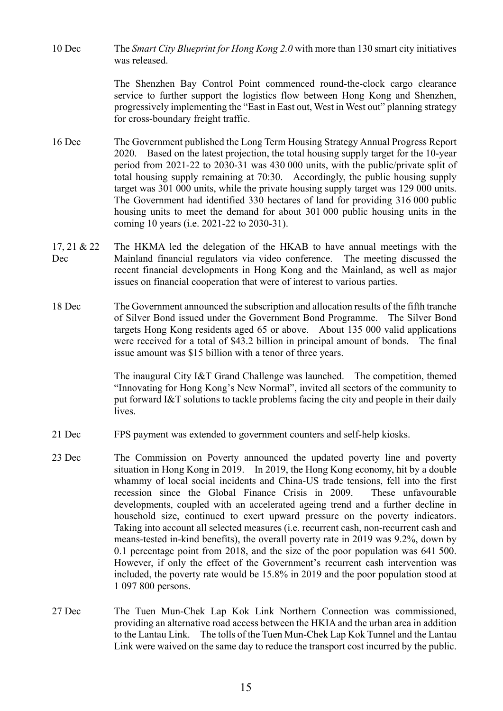10 Dec The *Smart City Blueprint for Hong Kong 2.0* with more than 130 smart city initiatives was released.

> The Shenzhen Bay Control Point commenced round-the-clock cargo clearance service to further support the logistics flow between Hong Kong and Shenzhen, progressively implementing the "East in East out, West in West out" planning strategy for cross-boundary freight traffic.

- 16 Dec The Government published the Long Term Housing Strategy Annual Progress Report 2020. Based on the latest projection, the total housing supply target for the 10-year period from 2021-22 to 2030-31 was 430 000 units, with the public/private split of total housing supply remaining at 70:30. Accordingly, the public housing supply target was 301 000 units, while the private housing supply target was 129 000 units. The Government had identified 330 hectares of land for providing 316 000 public housing units to meet the demand for about 301 000 public housing units in the coming 10 years (i.e. 2021-22 to 2030-31).
- 17, 21 & 22 Dec The HKMA led the delegation of the HKAB to have annual meetings with the Mainland financial regulators via video conference. The meeting discussed the recent financial developments in Hong Kong and the Mainland, as well as major issues on financial cooperation that were of interest to various parties.
- 18 Dec The Government announced the subscription and allocation results of the fifth tranche of Silver Bond issued under the Government Bond Programme. The Silver Bond targets Hong Kong residents aged 65 or above. About 135 000 valid applications were received for a total of \$43.2 billion in principal amount of bonds. The final issue amount was \$15 billion with a tenor of three years.

The inaugural City I&T Grand Challenge was launched. The competition, themed "Innovating for Hong Kong's New Normal", invited all sectors of the community to put forward I&T solutions to tackle problems facing the city and people in their daily lives.

- 21 Dec FPS payment was extended to government counters and self-help kiosks.
- 23 Dec The Commission on Poverty announced the updated poverty line and poverty situation in Hong Kong in 2019. In 2019, the Hong Kong economy, hit by a double whammy of local social incidents and China-US trade tensions, fell into the first recession since the Global Finance Crisis in 2009. These unfavourable developments, coupled with an accelerated ageing trend and a further decline in household size, continued to exert upward pressure on the poverty indicators. Taking into account all selected measures (i.e. recurrent cash, non-recurrent cash and means-tested in-kind benefits), the overall poverty rate in 2019 was 9.2%, down by 0.1 percentage point from 2018, and the size of the poor population was 641 500. However, if only the effect of the Government's recurrent cash intervention was included, the poverty rate would be 15.8% in 2019 and the poor population stood at 1 097 800 persons.
- 27 Dec The Tuen Mun-Chek Lap Kok Link Northern Connection was commissioned, providing an alternative road access between the HKIA and the urban area in addition to the Lantau Link. The tolls of the Tuen Mun-Chek Lap Kok Tunnel and the Lantau Link were waived on the same day to reduce the transport cost incurred by the public.